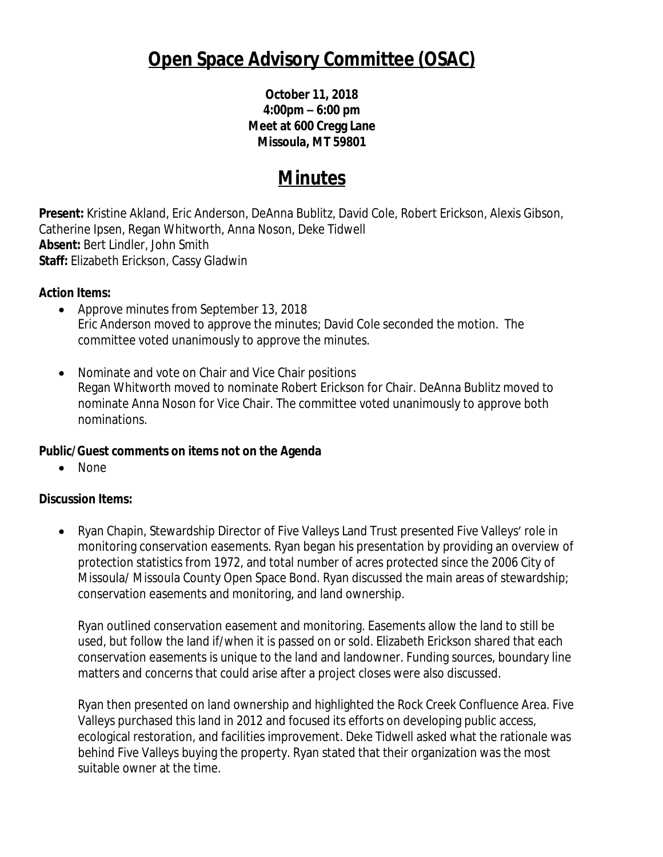# **Open Space Advisory Committee (OSAC)**

**October 11, 2018 4:00pm – 6:00 pm Meet at 600 Cregg Lane Missoula, MT 59801**

## **Minutes**

**Present:** Kristine Akland, Eric Anderson, DeAnna Bublitz, David Cole, Robert Erickson, Alexis Gibson, Catherine Ipsen, Regan Whitworth, Anna Noson, Deke Tidwell **Absent:** Bert Lindler, John Smith **Staff:** Elizabeth Erickson, Cassy Gladwin

#### **Action Items:**

- Approve minutes from September 13, 2018 Eric Anderson moved to approve the minutes; David Cole seconded the motion. The committee voted unanimously to approve the minutes.
- Nominate and vote on Chair and Vice Chair positions Regan Whitworth moved to nominate Robert Erickson for Chair. DeAnna Bublitz moved to nominate Anna Noson for Vice Chair. The committee voted unanimously to approve both nominations.

### **Public/Guest comments on items not on the Agenda**

• None

### **Discussion Items:**

 Ryan Chapin, Stewardship Director of Five Valleys Land Trust presented Five Valleys' role in monitoring conservation easements. Ryan began his presentation by providing an overview of protection statistics from 1972, and total number of acres protected since the 2006 City of Missoula/ Missoula County Open Space Bond. Ryan discussed the main areas of stewardship; conservation easements and monitoring, and land ownership.

Ryan outlined conservation easement and monitoring. Easements allow the land to still be used, but follow the land if/when it is passed on or sold. Elizabeth Erickson shared that each conservation easements is unique to the land and landowner. Funding sources, boundary line matters and concerns that could arise after a project closes were also discussed.

Ryan then presented on land ownership and highlighted the Rock Creek Confluence Area. Five Valleys purchased this land in 2012 and focused its efforts on developing public access, ecological restoration, and facilities improvement. Deke Tidwell asked what the rationale was behind Five Valleys buying the property. Ryan stated that their organization was the most suitable owner at the time.